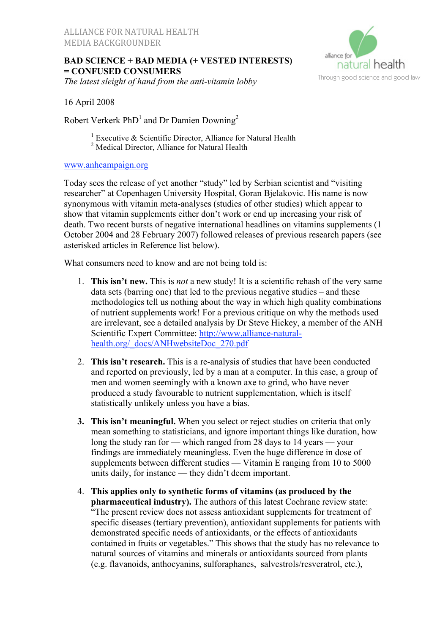# **BAD SCIENCE + BAD MEDIA (+ VESTED INTERESTS) = CONFUSED CONSUMERS**

*The latest sleight of hand from the anti-vitamin lobby*



16 April 2008

Robert Verkerk  $PhD<sup>1</sup>$  and Dr Damien Downing<sup>2</sup>

- <sup>1</sup> Executive & Scientific Director, Alliance for Natural Health
- <sup>2</sup> Medical Director, Alliance for Natural Health

#### www.anhcampaign.org

Today sees the release of yet another "study" led by Serbian scientist and "visiting researcher" at Copenhagen University Hospital, Goran Bjelakovic. His name is now synonymous with vitamin meta-analyses (studies of other studies) which appear to show that vitamin supplements either don't work or end up increasing your risk of death. Two recent bursts of negative international headlines on vitamins supplements (1 October 2004 and 28 February 2007) followed releases of previous research papers (see asterisked articles in Reference list below).

What consumers need to know and are not being told is:

- 1. **This isn't new.** This is *not* a new study! It is a scientific rehash of the very same data sets (barring one) that led to the previous negative studies – and these methodologies tell us nothing about the way in which high quality combinations of nutrient supplements work! For a previous critique on why the methods used are irrelevant, see a detailed analysis by Dr Steve Hickey, a member of the ANH Scientific Expert Committee: http://www.alliance-naturalhealth.org/\_docs/ANHwebsiteDoc\_270.pdf
- 2. **This isn't research.** This is a re-analysis of studies that have been conducted and reported on previously, led by a man at a computer. In this case, a group of men and women seemingly with a known axe to grind, who have never produced a study favourable to nutrient supplementation, which is itself statistically unlikely unless you have a bias.
- **3. This isn't meaningful.** When you select or reject studies on criteria that only mean something to statisticians, and ignore important things like duration, how long the study ran for — which ranged from 28 days to 14 years — your findings are immediately meaningless. Even the huge difference in dose of supplements between different studies — Vitamin E ranging from 10 to 5000 units daily, for instance — they didn't deem important.
- 4. **This applies only to synthetic forms of vitamins (as produced by the pharmaceutical industry).** The authors of this latest Cochrane review state: "The present review does not assess antioxidant supplements for treatment of specific diseases (tertiary prevention), antioxidant supplements for patients with demonstrated specific needs of antioxidants, or the effects of antioxidants contained in fruits or vegetables." This shows that the study has no relevance to natural sources of vitamins and minerals or antioxidants sourced from plants (e.g. flavanoids, anthocyanins, sulforaphanes, salvestrols/resveratrol, etc.),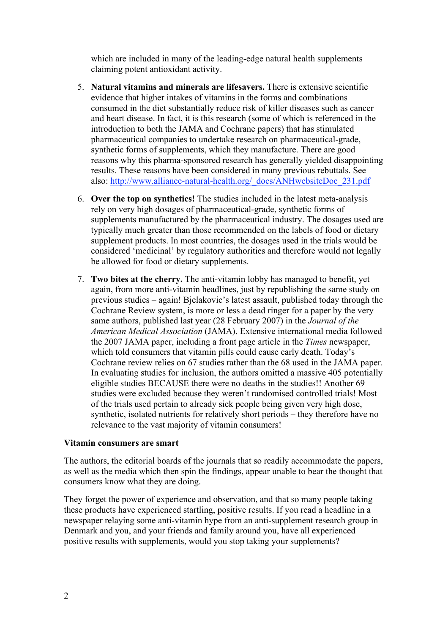which are included in many of the leading-edge natural health supplements claiming potent antioxidant activity.

- 5. **Natural vitamins and minerals are lifesavers.** There is extensive scientific evidence that higher intakes of vitamins in the forms and combinations consumed in the diet substantially reduce risk of killer diseases such as cancer and heart disease. In fact, it is this research (some of which is referenced in the introduction to both the JAMA and Cochrane papers) that has stimulated pharmaceutical companies to undertake research on pharmaceutical-grade, synthetic forms of supplements, which they manufacture. There are good reasons why this pharma-sponsored research has generally yielded disappointing results. These reasons have been considered in many previous rebuttals. See also: http://www.alliance-natural-health.org/\_docs/ANHwebsiteDoc\_231.pdf
- 6. **Over the top on synthetics!** The studies included in the latest meta-analysis rely on very high dosages of pharmaceutical-grade, synthetic forms of supplements manufactured by the pharmaceutical industry. The dosages used are typically much greater than those recommended on the labels of food or dietary supplement products. In most countries, the dosages used in the trials would be considered 'medicinal' by regulatory authorities and therefore would not legally be allowed for food or dietary supplements.
- 7. **Two bites at the cherry.** The anti-vitamin lobby has managed to benefit, yet again, from more anti-vitamin headlines, just by republishing the same study on previous studies – again! Bjelakovic's latest assault, published today through the Cochrane Review system, is more or less a dead ringer for a paper by the very same authors, published last year (28 February 2007) in the *Journal of the American Medical Association* (JAMA). Extensive international media followed the 2007 JAMA paper, including a front page article in the *Times* newspaper, which told consumers that vitamin pills could cause early death. Today's Cochrane review relies on 67 studies rather than the 68 used in the JAMA paper. In evaluating studies for inclusion, the authors omitted a massive 405 potentially eligible studies BECAUSE there were no deaths in the studies!! Another 69 studies were excluded because they weren't randomised controlled trials! Most of the trials used pertain to already sick people being given very high dose, synthetic, isolated nutrients for relatively short periods – they therefore have no relevance to the vast majority of vitamin consumers!

#### **Vitamin consumers are smart**

The authors, the editorial boards of the journals that so readily accommodate the papers, as well as the media which then spin the findings, appear unable to bear the thought that consumers know what they are doing.

They forget the power of experience and observation, and that so many people taking these products have experienced startling, positive results. If you read a headline in a newspaper relaying some anti-vitamin hype from an anti-supplement research group in Denmark and you, and your friends and family around you, have all experienced positive results with supplements, would you stop taking your supplements?